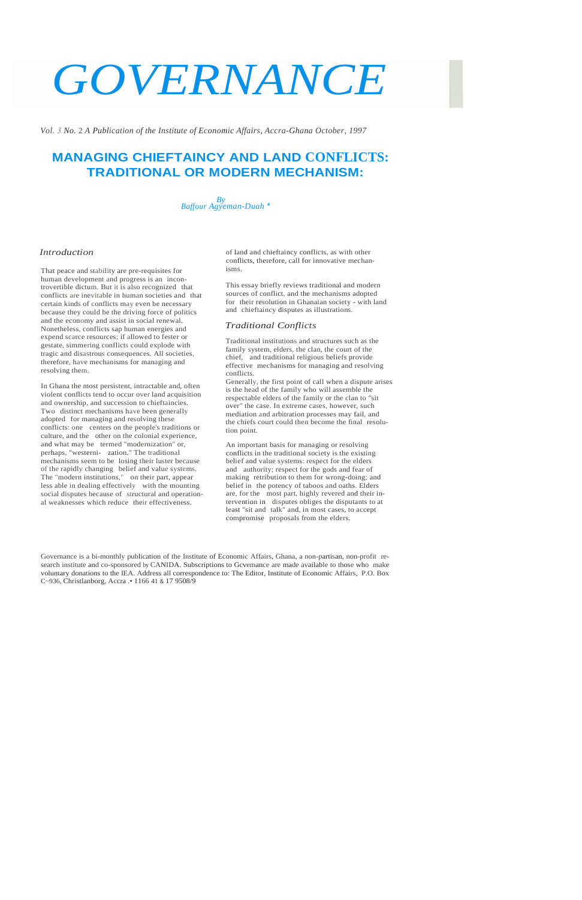# *GOVERNANCE*

*Vol. 3 No.* 2 *A Publication of the Institute of Economic Affairs, Accra-Ghana October, 1997* 

# **MANAGING CHIEFTAINCY AND LAND CONFLICTS: TRADITIONAL OR MODERN MECHANISM:**



### *Introduction*

That peace and stability are pre-requisites for human development and progress is an incontrovertible dictum. But it is also recognized that conflicts are inevitable in human societies and that certain kinds of conflicts may even be necessary because they could be the driving force of politics and the economy and assist in social renewal. Nonetheless, conflicts sap human energies and expend scarce resources; if allowed to fester or gestate, simmering conflicts could explode with tragic and disastrous consequences. All societies, therefore, have mechanisms for managing and resolving them.

In Ghana the most persistent, intractable and, often violent conflicts tend to occur over land acquisition and ownership, and succession to chieftaincies. Two distinct mechanisms have been generally adopted for managing and resolving these conflicts: one centers on the people's traditions or culture, and the other on the colonial experience, and what may be termed "modernization" or, perhaps, "westerni- zation." The traditional mechanisms seem to be losing their luster because of the rapidly changing belief and value systems. The "modern institutions," on their part, appear less able in dealing effectively with the mounting social disputes because of structural and operational weaknesses which reduce their effectiveness.

of land and chieftaincy conflicts, as with other conflicts, therefore, call for innovative mechanisms.

This essay briefly reviews traditional and modern sources of conflict, and the mechanisms adopted for their resolution in Ghanaian society - with land and chieftaincy disputes as illustrations.

#### *Traditional Conflicts*

Traditional institutions and structures such as the family system, elders, the clan, the court of the chief, and traditional religious beliefs provide effective mechanisms for managing and resolving conflicts.

Generally, the first point of call when a dispute arises is the head of the family who will assemble the respectable elders of the family or the clan to "sit over" the case. In extreme cases, however, such mediation and arbitration processes may fail, and the chiefs court could then become the final resolution point.

An important basis for managing or resolving conflicts in the traditional society is the existing belief and value systems: respect for the elders and authority; respect for the gods and fear of making retribution to them for wrong-doing; and belief in the potency of taboos and oaths. Elders are, for the most part, highly revered and their intervention in disputes obliges the disputants to at least "sit and talk" and, in most cases, to accept compromise proposals from the elders.

Governance is a bi-monthly publication of the Institute of Economic Affairs, Ghana, a non-partisan, non-profit research institute and co-sponsored by CANIDA. Subscriptions to Gcvemance are made available to those who make voluntary donations to the lEA. Address all correspondence to: The Editor, Institute of Economic Affairs, P.O. Box C~936, Christlanborg, Accra .• 1166 41 & 17 9508/9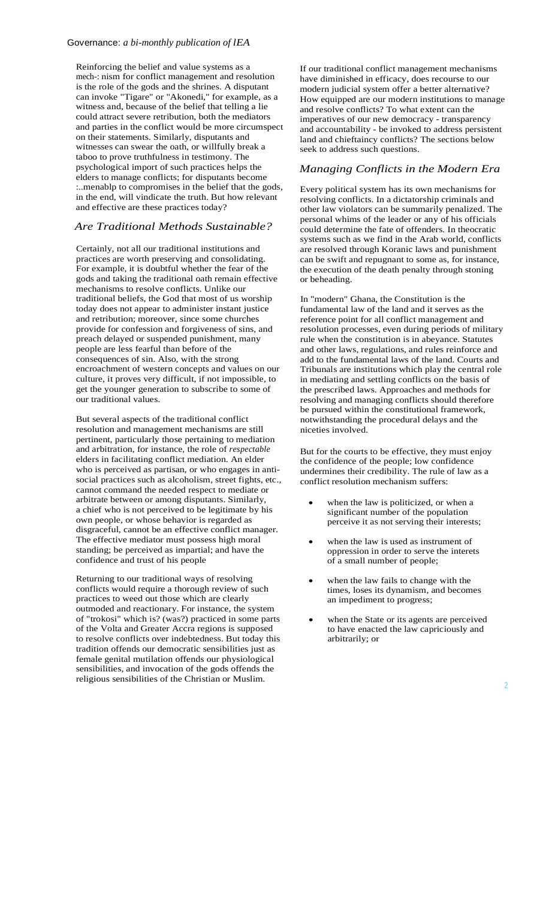Reinforcing the belief and value systems as a mech-: nism for conflict management and resolution is the role of the gods and the shrines. A disputant can invoke "Tigare" or "Akonedi," for example, as a witness and, because of the belief that telling a lie could attract severe retribution, both the mediators and parties in the conflict would be more circumspect on their statements. Similarly, disputants and witnesses can swear the oath, or willfully break a taboo to prove truthfulness in testimony. The psychological import of such practices helps the elders to manage conflicts; for disputants become :..menablp to compromises in the belief that the gods, in the end, will vindicate the truth. But how relevant and effective are these practices today?

# *Are Traditional Methods Sustainable?*

Certainly, not all our traditional institutions and practices are worth preserving and consolidating. For example, it is doubtful whether the fear of the gods and taking the traditional oath remain effective mechanisms to resolve conflicts. Unlike our traditional beliefs, the God that most of us worship today does not appear to administer instant justice and retribution; moreover, since some churches provide for confession and forgiveness of sins, and preach delayed or suspended punishment, many people are less fearful than before of the consequences of sin. Also, with the strong encroachment of western concepts and values on our culture, it proves very difficult, if not impossible, to get the younger generation to subscribe to some of our traditional values.

But several aspects of the traditional conflict resolution and management mechanisms are still pertinent, particularly those pertaining to mediation and arbitration, for instance, the role of *respectable*  elders in facilitating conflict mediation. An elder who is perceived as partisan, or who engages in antisocial practices such as alcoholism, street fights, etc., cannot command the needed respect to mediate or arbitrate between or among disputants. Similarly, a chief who is not perceived to be legitimate by his own people, or whose behavior is regarded as disgraceful, cannot be an effective conflict manager. The effective mediator must possess high moral standing; be perceived as impartial; and have the confidence and trust of his people

Returning to our traditional ways of resolving conflicts would require a thorough review of such practices to weed out those which are clearly outmoded and reactionary. For instance, the system of "trokosi" which is? (was?) practiced in some parts of the Volta and Greater Accra regions is supposed to resolve conflicts over indebtedness. But today this tradition offends our democratic sensibilities just as female genital mutilation offends our physiological sensibilities, and invocation of the gods offends the religious sensibilities of the Christian or Muslim.

If our traditional conflict management mechanisms have diminished in efficacy, does recourse to our modern judicial system offer a better alternative? How equipped are our modern institutions to manage and resolve conflicts? To what extent can the imperatives of our new democracy - transparency and accountability - be invoked to address persistent land and chieftaincy conflicts? The sections below seek to address such questions.

# *Managing Conflicts in the Modern Era*

Every political system has its own mechanisms for resolving conflicts. In a dictatorship criminals and other law violators can be summarily penalized. The personal whims of the leader or any of his officials could determine the fate of offenders. In theocratic systems such as we find in the Arab world, conflicts are resolved through Koranic laws and punishment can be swift and repugnant to some as, for instance, the execution of the death penalty through stoning or beheading.

In "modern" Ghana, the Constitution is the fundamental law of the land and it serves as the reference point for all conflict management and resolution processes, even during periods of military rule when the constitution is in abeyance. Statutes and other laws, regulations, and rules reinforce and add to the fundamental laws of the land. Courts and Tribunals are institutions which play the central role in mediating and settling conflicts on the basis of the prescribed laws. Approaches and methods for resolving and managing conflicts should therefore be pursued within the constitutional framework, notwithstanding the procedural delays and the niceties involved.

But for the courts to be effective, they must enjoy the confidence of the people; low confidence undermines their credibility. The rule of law as a conflict resolution mechanism suffers:

- when the law is politicized, or when a significant number of the population perceive it as not serving their interests;
- when the law is used as instrument of oppression in order to serve the interets of a small number of people;
- when the law fails to change with the times, loses its dynamism, and becomes an impediment to progress;
- x when the State or its agents are perceived to have enacted the law capriciously and arbitrarily; or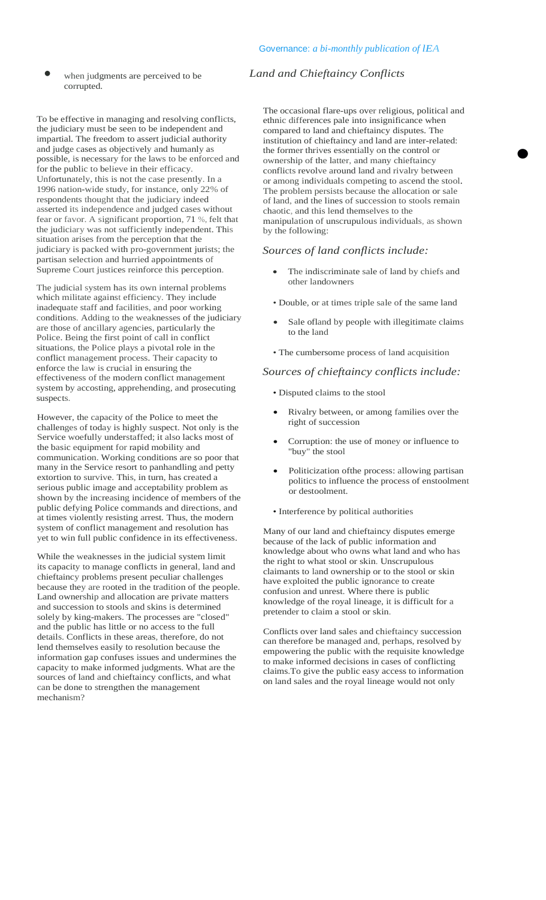• when judgments are perceived to be corrupted.

To be effective in managing and resolving conflicts, the judiciary must be seen to be independent and impartial. The freedom to assert judicial authority and judge cases as objectively and humanly as possible, is necessary for the laws to be enforced and for the public to believe in their efficacy. Unfortunately, this is not the case presently. In a 1996 nation-wide study, for instance, only 22% of respondents thought that the judiciary indeed asserted its independence and judged cases without fear or favor. A significant proportion, 71 %, felt that the judiciary was not sufficiently independent. This situation arises from the perception that the judiciary is packed with pro-government jurists; the partisan selection and hurried appointments of Supreme Court justices reinforce this perception.

The judicial system has its own internal problems which militate against efficiency. They include inadequate staff and facilities, and poor working conditions. Adding to the weaknesses of the judiciary are those of ancillary agencies, particularly the Police. Being the first point of call in conflict situations, the Police plays a pivotal role in the conflict management process. Their capacity to enforce the law is crucial in ensuring the effectiveness of the modern conflict management system by accosting, apprehending, and prosecuting suspects.

However, the capacity of the Police to meet the challenges of today is highly suspect. Not only is the Service woefully understaffed; it also lacks most of the basic equipment for rapid mobility and communication. Working conditions are so poor that many in the Service resort to panhandling and petty extortion to survive. This, in turn, has created a serious public image and acceptability problem as shown by the increasing incidence of members of the public defying Police commands and directions, and at times violently resisting arrest. Thus, the modern system of conflict management and resolution has yet to win full public confidence in its effectiveness.

While the weaknesses in the judicial system limit its capacity to manage conflicts in general, land and chieftaincy problems present peculiar challenges because they are rooted in the tradition of the people. Land ownership and allocation are private matters and succession to stools and skins is determined solely by king-makers. The processes are "closed" and the public has little or no access to the full details. Conflicts in these areas, therefore, do not lend themselves easily to resolution because the information gap confuses issues and undermines the capacity to make informed judgments. What are the sources of land and chieftaincy conflicts, and what can be done to strengthen the management mechanism?

# *Land and Chieftaincy Conflicts*

The occasional flare-ups over religious, political and ethnic differences pale into insignificance when compared to land and chieftaincy disputes. The institution of chieftaincy and land are inter-related: the former thrives essentially on the control or ownership of the latter, and many chieftaincy conflicts revolve around land and rivalry between or among individuals competing to ascend the stool. The problem persists because the allocation or sale of land, and the lines of succession to stools remain chaotic, and this lend themselves to the manipulation of unscrupulous individuals, as shown by the following:

#### *Sources of land conflicts include:*

- The indiscriminate sale of land by chiefs and other landowners
- Double, or at times triple sale of the same land
- Sale ofland by people with illegitimate claims to the land
- The cumbersome process of land acquisition

#### *Sources of chieftaincy conflicts include:*

- Disputed claims to the stool
- Rivalry between, or among families over the right of succession
- Corruption: the use of money or influence to "buy" the stool
- Politicization of the process: allowing partisan politics to influence the process of enstoolment or destoolment.
- Interference by political authorities

Many of our land and chieftaincy disputes emerge because of the lack of public information and knowledge about who owns what land and who has the right to what stool or skin. Unscrupulous claimants to land ownership or to the stool or skin have exploited the public ignorance to create confusion and unrest. Where there is public knowledge of the royal lineage, it is difficult for a pretender to claim a stool or skin.

Conflicts over land sales and chieftaincy succession can therefore be managed and, perhaps, resolved by empowering the public with the requisite knowledge to make informed decisions in cases of conflicting claims.To give the public easy access to information on land sales and the royal lineage would not only